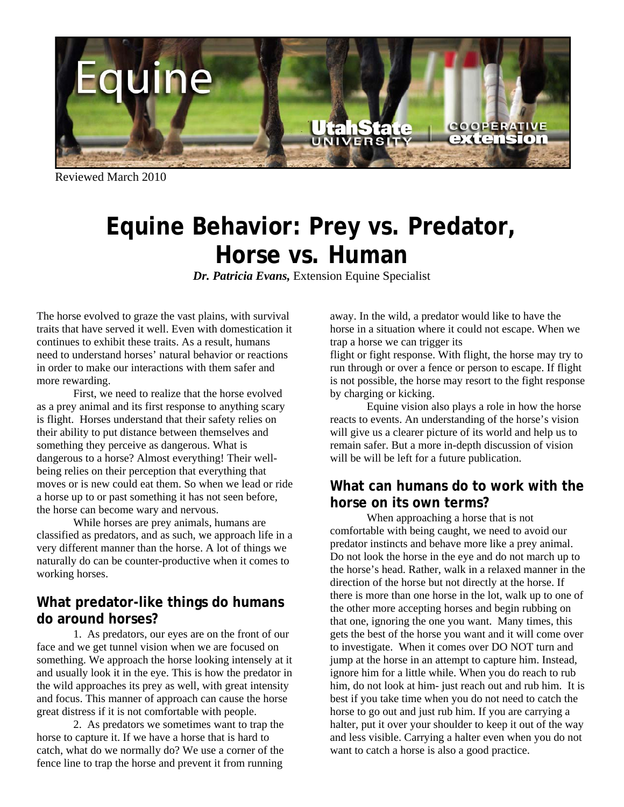

Reviewed March 2010

## **Equine Behavior: Prey vs. Predator, Horse vs. Human**

*Dr. Patricia Evans,* Extension Equine Specialist

The horse evolved to graze the vast plains, with survival traits that have served it well. Even with domestication it continues to exhibit these traits. As a result, humans need to understand horses' natural behavior or reactions in order to make our interactions with them safer and more rewarding.

 First, we need to realize that the horse evolved as a prey animal and its first response to anything scary is flight. Horses understand that their safety relies on their ability to put distance between themselves and something they perceive as dangerous. What is dangerous to a horse? Almost everything! Their wellbeing relies on their perception that everything that moves or is new could eat them. So when we lead or ride a horse up to or past something it has not seen before, the horse can become wary and nervous.

 While horses are prey animals, humans are classified as predators, and as such, we approach life in a very different manner than the horse. A lot of things we naturally do can be counter-productive when it comes to working horses.

## **What predator-like things do humans do around horses?**

 1. As predators, our eyes are on the front of our face and we get tunnel vision when we are focused on something. We approach the horse looking intensely at it and usually look it in the eye. This is how the predator in the wild approaches its prey as well, with great intensity and focus. This manner of approach can cause the horse great distress if it is not comfortable with people.

 2. As predators we sometimes want to trap the horse to capture it. If we have a horse that is hard to catch, what do we normally do? We use a corner of the fence line to trap the horse and prevent it from running

away. In the wild, a predator would like to have the horse in a situation where it could not escape. When we trap a horse we can trigger its flight or fight response. With flight, the horse may try to

run through or over a fence or person to escape. If flight is not possible, the horse may resort to the fight response by charging or kicking.

 Equine vision also plays a role in how the horse reacts to events. An understanding of the horse's vision will give us a clearer picture of its world and help us to remain safer. But a more in-depth discussion of vision will be will be left for a future publication.

## **What can humans do to work with the horse on its own terms?**

 When approaching a horse that is not comfortable with being caught, we need to avoid our predator instincts and behave more like a prey animal. Do not look the horse in the eye and do not march up to the horse's head. Rather, walk in a relaxed manner in the direction of the horse but not directly at the horse. If there is more than one horse in the lot, walk up to one of the other more accepting horses and begin rubbing on that one, ignoring the one you want. Many times, this gets the best of the horse you want and it will come over to investigate. When it comes over DO NOT turn and jump at the horse in an attempt to capture him. Instead, ignore him for a little while. When you do reach to rub him, do not look at him- just reach out and rub him. It is best if you take time when you do not need to catch the horse to go out and just rub him. If you are carrying a halter, put it over your shoulder to keep it out of the way and less visible. Carrying a halter even when you do not want to catch a horse is also a good practice.